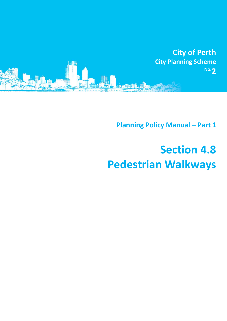

**Planning Policy Manual - Part 1** 

## **Section 4.8 Pedestrian Walkways**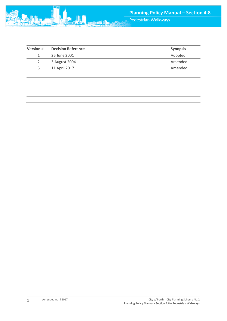

| Version # | <b>Decision Reference</b> | <b>Synopsis</b> |
|-----------|---------------------------|-----------------|
|           | 26 June 2001              | Adopted         |
|           | 3 August 2004             | Amended         |
| ર         | 11 April 2017             | Amended         |
|           |                           |                 |